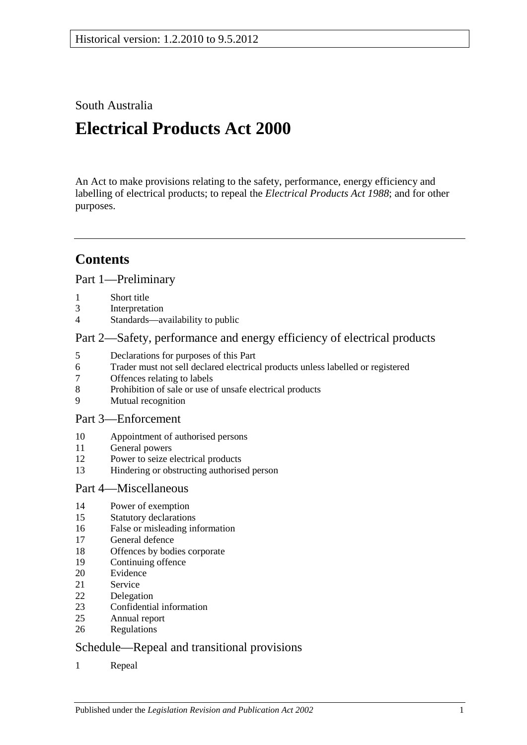South Australia

# **Electrical Products Act 2000**

An Act to make provisions relating to the safety, performance, energy efficiency and labelling of electrical products; to repeal the *[Electrical Products Act](http://www.legislation.sa.gov.au/index.aspx?action=legref&type=act&legtitle=Electrical%20Products%20Act%201988) 1988*; and for other purposes.

# **Contents**

[Part 1—Preliminary](#page-1-0)

- [Short title](#page-1-1)<br>3 Interpretat
- [Interpretation](#page-1-2)
- [Standards—availability to public](#page-2-0)

### [Part 2—Safety, performance and energy efficiency of electrical products](#page-2-1)

- [Declarations for purposes of this Part](#page-2-2)<br>6 Trader must not sell declared electrica
- [Trader must not sell declared electrical products unless labelled or registered](#page-2-3)
- [Offences relating to labels](#page-3-0)
- [Prohibition of sale or use of unsafe electrical products](#page-4-0)
- [Mutual recognition](#page-4-1)

### [Part 3—Enforcement](#page-5-0)

- [Appointment of authorised persons](#page-5-1)
- [General powers](#page-6-0)
- [Power to seize electrical products](#page-6-1)
- [Hindering or obstructing authorised person](#page-7-0)

### [Part 4—Miscellaneous](#page-7-1)

- [Power of exemption](#page-7-2)
- [Statutory declarations](#page-7-3)
- [False or misleading information](#page-7-4)
- [General defence](#page-7-5)
- [Offences by bodies corporate](#page-8-0)
- [Continuing offence](#page-8-1)
- [Evidence](#page-8-2)
- [Service](#page-8-3)
- [Delegation](#page-9-0)
- [Confidential information](#page-9-1)
- [Annual report](#page-9-2)
- [Regulations](#page-9-3)

## [Schedule—Repeal and transitional provisions](#page-10-0)

[Repeal](#page-10-1)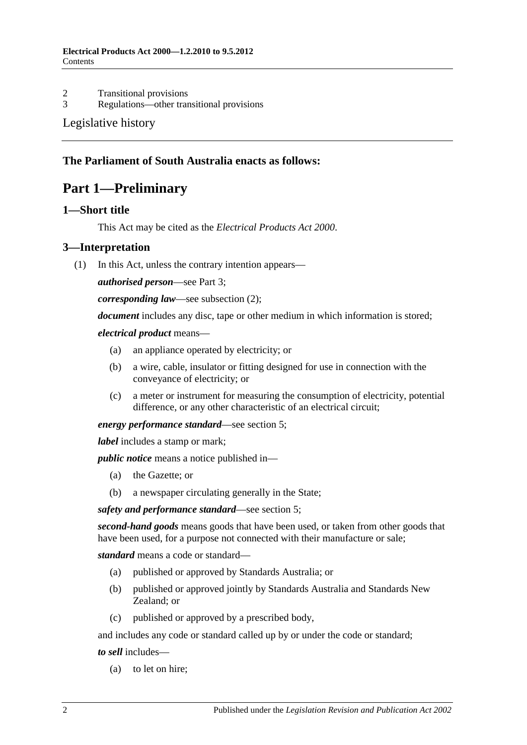# 2 [Transitional provisions](#page-10-2)<br>3 Regulations—other tran

[Regulations—other transitional provisions](#page-10-3)

### [Legislative history](#page-12-0)

### <span id="page-1-0"></span>**The Parliament of South Australia enacts as follows:**

# **Part 1—Preliminary**

### <span id="page-1-1"></span>**1—Short title**

This Act may be cited as the *Electrical Products Act 2000*.

### <span id="page-1-2"></span>**3—Interpretation**

(1) In this Act, unless the contrary intention appears—

*authorised person*—see [Part 3;](#page-5-0)

*corresponding law*—see [subsection](#page-2-4) (2);

*document* includes any disc, tape or other medium in which information is stored;

#### *electrical product* means—

- (a) an appliance operated by electricity; or
- (b) a wire, cable, insulator or fitting designed for use in connection with the conveyance of electricity; or
- (c) a meter or instrument for measuring the consumption of electricity, potential difference, or any other characteristic of an electrical circuit;

#### *energy performance standard*—see [section](#page-2-2) 5;

*label* includes a stamp or mark;

*public notice* means a notice published in—

- (a) the Gazette; or
- (b) a newspaper circulating generally in the State;

*safety and performance standard*—see [section](#page-2-2) 5;

*second-hand goods* means goods that have been used, or taken from other goods that have been used, for a purpose not connected with their manufacture or sale;

*standard* means a code or standard—

- (a) published or approved by Standards Australia; or
- (b) published or approved jointly by Standards Australia and Standards New Zealand; or
- (c) published or approved by a prescribed body,

and includes any code or standard called up by or under the code or standard;

*to sell* includes—

(a) to let on hire;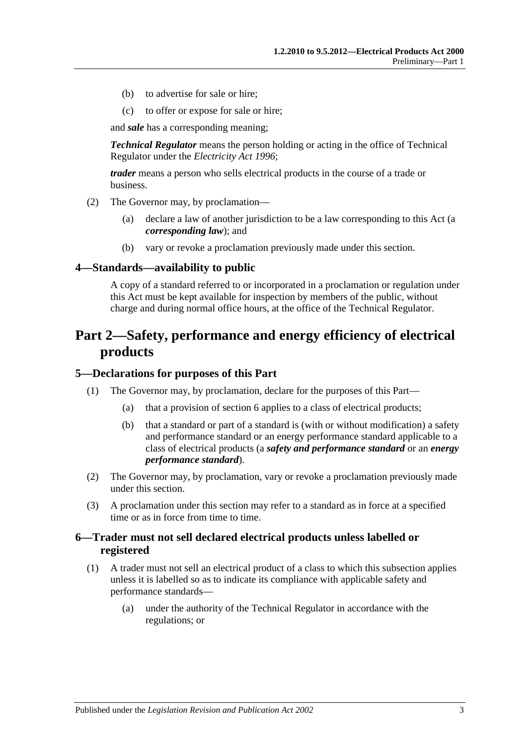- (b) to advertise for sale or hire;
- (c) to offer or expose for sale or hire;

and *sale* has a corresponding meaning;

*Technical Regulator* means the person holding or acting in the office of Technical Regulator under the *[Electricity Act](http://www.legislation.sa.gov.au/index.aspx?action=legref&type=act&legtitle=Electricity%20Act%201996) 1996*;

*trader* means a person who sells electrical products in the course of a trade or business.

- <span id="page-2-4"></span>(2) The Governor may, by proclamation—
	- (a) declare a law of another jurisdiction to be a law corresponding to this Act (a *corresponding law*); and
	- (b) vary or revoke a proclamation previously made under this section.

#### <span id="page-2-0"></span>**4—Standards—availability to public**

A copy of a standard referred to or incorporated in a proclamation or regulation under this Act must be kept available for inspection by members of the public, without charge and during normal office hours, at the office of the Technical Regulator.

# <span id="page-2-1"></span>**Part 2—Safety, performance and energy efficiency of electrical products**

#### <span id="page-2-2"></span>**5—Declarations for purposes of this Part**

- (1) The Governor may, by proclamation, declare for the purposes of this Part—
	- (a) that a provision of [section](#page-2-3) 6 applies to a class of electrical products;
	- (b) that a standard or part of a standard is (with or without modification) a safety and performance standard or an energy performance standard applicable to a class of electrical products (a *safety and performance standard* or an *energy performance standard*).
- (2) The Governor may, by proclamation, vary or revoke a proclamation previously made under this section.
- (3) A proclamation under this section may refer to a standard as in force at a specified time or as in force from time to time.

### <span id="page-2-3"></span>**6—Trader must not sell declared electrical products unless labelled or registered**

- <span id="page-2-6"></span><span id="page-2-5"></span>(1) A trader must not sell an electrical product of a class to which this subsection applies unless it is labelled so as to indicate its compliance with applicable safety and performance standards—
	- (a) under the authority of the Technical Regulator in accordance with the regulations; or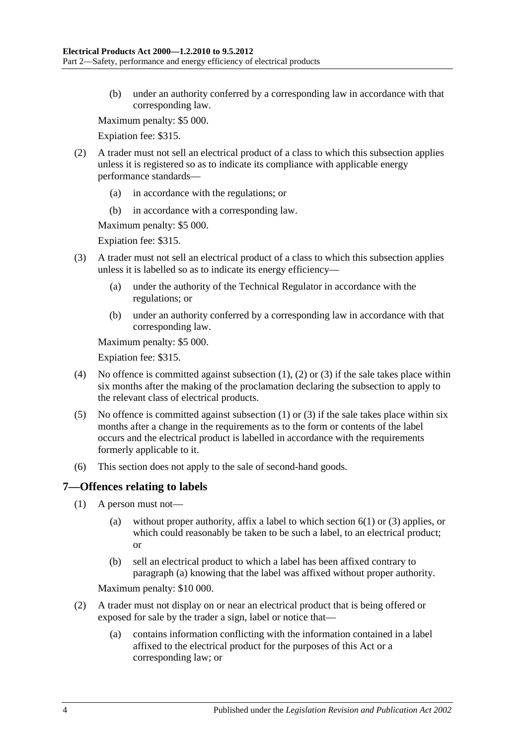(b) under an authority conferred by a corresponding law in accordance with that corresponding law.

Maximum penalty: \$5 000.

Expiation fee: \$315.

- <span id="page-3-1"></span>(2) A trader must not sell an electrical product of a class to which this subsection applies unless it is registered so as to indicate its compliance with applicable energy performance standards—
	- (a) in accordance with the regulations; or
	- (b) in accordance with a corresponding law.

Maximum penalty: \$5 000.

Expiation fee: \$315.

- <span id="page-3-4"></span><span id="page-3-2"></span>(3) A trader must not sell an electrical product of a class to which this subsection applies unless it is labelled so as to indicate its energy efficiency—
	- (a) under the authority of the Technical Regulator in accordance with the regulations; or
	- (b) under an authority conferred by a corresponding law in accordance with that corresponding law.

Maximum penalty: \$5 000.

Expiation fee: \$315.

- (4) No offence is committed against [subsection](#page-2-5) (1), [\(2\)](#page-3-1) or [\(3\)](#page-3-2) if the sale takes place within six months after the making of the proclamation declaring the subsection to apply to the relevant class of electrical products.
- (5) No offence is committed against [subsection](#page-2-5) (1) or [\(3\)](#page-3-2) if the sale takes place within six months after a change in the requirements as to the form or contents of the label occurs and the electrical product is labelled in accordance with the requirements formerly applicable to it.
- (6) This section does not apply to the sale of second-hand goods.

#### <span id="page-3-0"></span>**7—Offences relating to labels**

- <span id="page-3-3"></span>(1) A person must not—
	- (a) without proper authority, affix a label to which [section](#page-2-5) 6(1) or [\(3\)](#page-3-2) applies, or which could reasonably be taken to be such a label, to an electrical product; or
	- (b) sell an electrical product to which a label has been affixed contrary to [paragraph](#page-3-3) (a) knowing that the label was affixed without proper authority.

Maximum penalty: \$10 000.

- (2) A trader must not display on or near an electrical product that is being offered or exposed for sale by the trader a sign, label or notice that—
	- (a) contains information conflicting with the information contained in a label affixed to the electrical product for the purposes of this Act or a corresponding law; or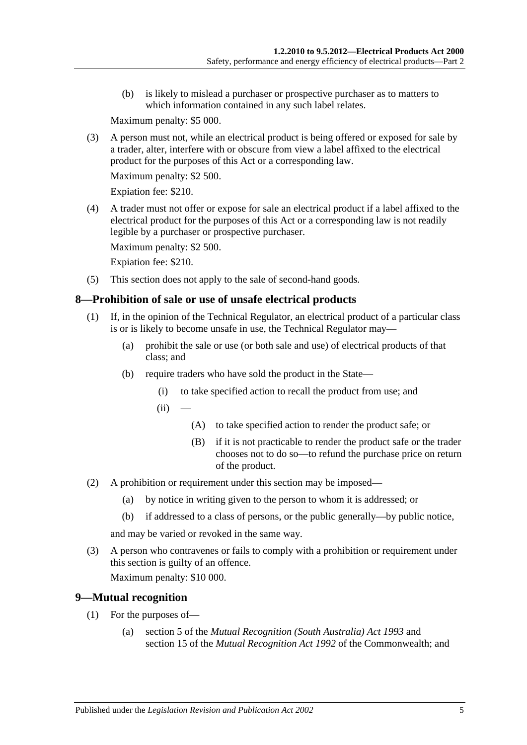(b) is likely to mislead a purchaser or prospective purchaser as to matters to which information contained in any such label relates.

Maximum penalty: \$5 000.

(3) A person must not, while an electrical product is being offered or exposed for sale by a trader, alter, interfere with or obscure from view a label affixed to the electrical product for the purposes of this Act or a corresponding law.

Maximum penalty: \$2 500.

Expiation fee: \$210.

(4) A trader must not offer or expose for sale an electrical product if a label affixed to the electrical product for the purposes of this Act or a corresponding law is not readily legible by a purchaser or prospective purchaser.

Maximum penalty: \$2 500.

Expiation fee: \$210.

(5) This section does not apply to the sale of second-hand goods.

### <span id="page-4-0"></span>**8—Prohibition of sale or use of unsafe electrical products**

- (1) If, in the opinion of the Technical Regulator, an electrical product of a particular class is or is likely to become unsafe in use, the Technical Regulator may—
	- (a) prohibit the sale or use (or both sale and use) of electrical products of that class; and
	- (b) require traders who have sold the product in the State—
		- (i) to take specified action to recall the product from use; and
		- $(ii)$
- (A) to take specified action to render the product safe; or
- (B) if it is not practicable to render the product safe or the trader chooses not to do so—to refund the purchase price on return of the product.
- (2) A prohibition or requirement under this section may be imposed—
	- (a) by notice in writing given to the person to whom it is addressed; or
	- (b) if addressed to a class of persons, or the public generally—by public notice,

and may be varied or revoked in the same way.

(3) A person who contravenes or fails to comply with a prohibition or requirement under this section is guilty of an offence.

Maximum penalty: \$10 000.

### <span id="page-4-2"></span><span id="page-4-1"></span>**9—Mutual recognition**

- (1) For the purposes of—
	- (a) section 5 of the *[Mutual Recognition \(South Australia\) Act](http://www.legislation.sa.gov.au/index.aspx?action=legref&type=act&legtitle=Mutual%20Recognition%20(South%20Australia)%20Act%201993) 1993* and section 15 of the *Mutual Recognition Act 1992* of the Commonwealth; and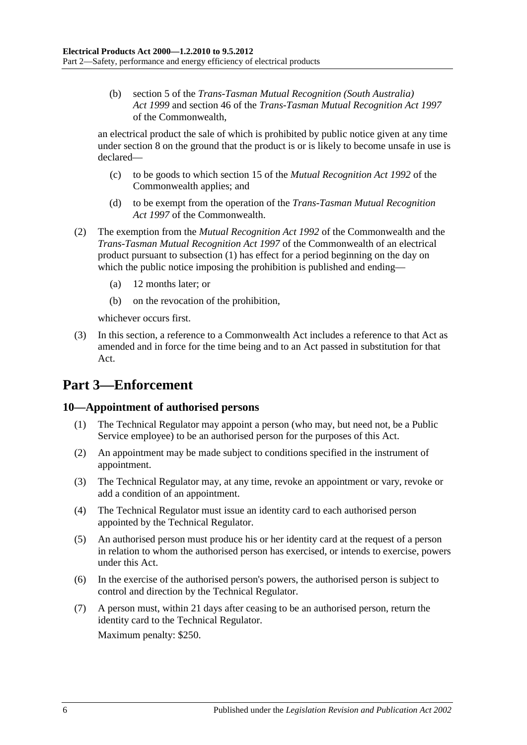(b) section 5 of the *[Trans-Tasman Mutual Recognition \(South Australia\)](http://www.legislation.sa.gov.au/index.aspx?action=legref&type=act&legtitle=Trans-Tasman%20Mutual%20Recognition%20(South%20Australia)%20Act%201999)  Act [1999](http://www.legislation.sa.gov.au/index.aspx?action=legref&type=act&legtitle=Trans-Tasman%20Mutual%20Recognition%20(South%20Australia)%20Act%201999)* and section 46 of the *Trans-Tasman Mutual Recognition Act 1997* of the Commonwealth,

an electrical product the sale of which is prohibited by public notice given at any time under [section](#page-4-0) 8 on the ground that the product is or is likely to become unsafe in use is declared—

- (c) to be goods to which section 15 of the *Mutual Recognition Act 1992* of the Commonwealth applies; and
- (d) to be exempt from the operation of the *Trans-Tasman Mutual Recognition Act 1997* of the Commonwealth.
- (2) The exemption from the *Mutual Recognition Act 1992* of the Commonwealth and the *Trans-Tasman Mutual Recognition Act 1997* of the Commonwealth of an electrical product pursuant to [subsection](#page-4-2) (1) has effect for a period beginning on the day on which the public notice imposing the prohibition is published and ending—
	- (a) 12 months later; or
	- (b) on the revocation of the prohibition,

whichever occurs first.

(3) In this section, a reference to a Commonwealth Act includes a reference to that Act as amended and in force for the time being and to an Act passed in substitution for that Act.

# <span id="page-5-0"></span>**Part 3—Enforcement**

### <span id="page-5-1"></span>**10—Appointment of authorised persons**

- (1) The Technical Regulator may appoint a person (who may, but need not, be a Public Service employee) to be an authorised person for the purposes of this Act.
- (2) An appointment may be made subject to conditions specified in the instrument of appointment.
- (3) The Technical Regulator may, at any time, revoke an appointment or vary, revoke or add a condition of an appointment.
- (4) The Technical Regulator must issue an identity card to each authorised person appointed by the Technical Regulator.
- (5) An authorised person must produce his or her identity card at the request of a person in relation to whom the authorised person has exercised, or intends to exercise, powers under this Act.
- (6) In the exercise of the authorised person's powers, the authorised person is subject to control and direction by the Technical Regulator.
- (7) A person must, within 21 days after ceasing to be an authorised person, return the identity card to the Technical Regulator.

Maximum penalty: \$250.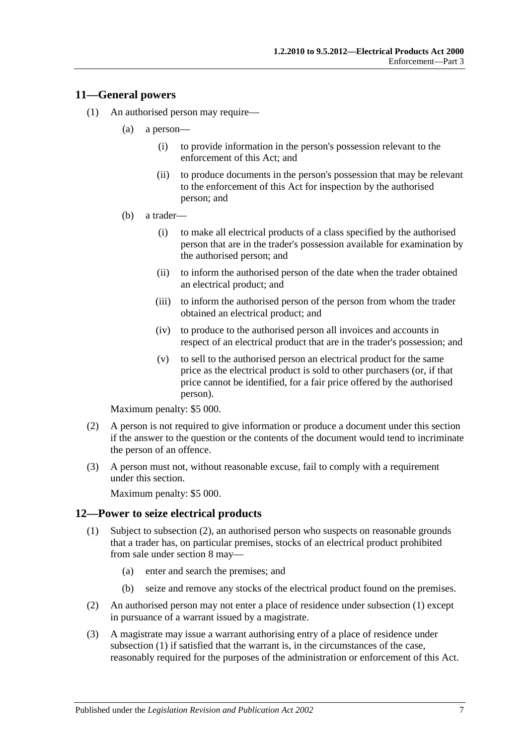### <span id="page-6-0"></span>**11—General powers**

- (1) An authorised person may require—
	- (a) a person—
		- (i) to provide information in the person's possession relevant to the enforcement of this Act; and
		- (ii) to produce documents in the person's possession that may be relevant to the enforcement of this Act for inspection by the authorised person; and
	- (b) a trader—
		- (i) to make all electrical products of a class specified by the authorised person that are in the trader's possession available for examination by the authorised person; and
		- (ii) to inform the authorised person of the date when the trader obtained an electrical product; and
		- (iii) to inform the authorised person of the person from whom the trader obtained an electrical product; and
		- (iv) to produce to the authorised person all invoices and accounts in respect of an electrical product that are in the trader's possession; and
		- (v) to sell to the authorised person an electrical product for the same price as the electrical product is sold to other purchasers (or, if that price cannot be identified, for a fair price offered by the authorised person).

Maximum penalty: \$5 000.

- (2) A person is not required to give information or produce a document under this section if the answer to the question or the contents of the document would tend to incriminate the person of an offence.
- (3) A person must not, without reasonable excuse, fail to comply with a requirement under this section.

Maximum penalty: \$5 000.

#### <span id="page-6-3"></span><span id="page-6-1"></span>**12—Power to seize electrical products**

- (1) Subject to [subsection](#page-6-2) (2), an authorised person who suspects on reasonable grounds that a trader has, on particular premises, stocks of an electrical product prohibited from sale under [section](#page-4-0) 8 may—
	- (a) enter and search the premises; and
	- (b) seize and remove any stocks of the electrical product found on the premises.
- <span id="page-6-2"></span>(2) An authorised person may not enter a place of residence under [subsection](#page-6-3) (1) except in pursuance of a warrant issued by a magistrate.
- (3) A magistrate may issue a warrant authorising entry of a place of residence under [subsection](#page-6-3) (1) if satisfied that the warrant is, in the circumstances of the case, reasonably required for the purposes of the administration or enforcement of this Act.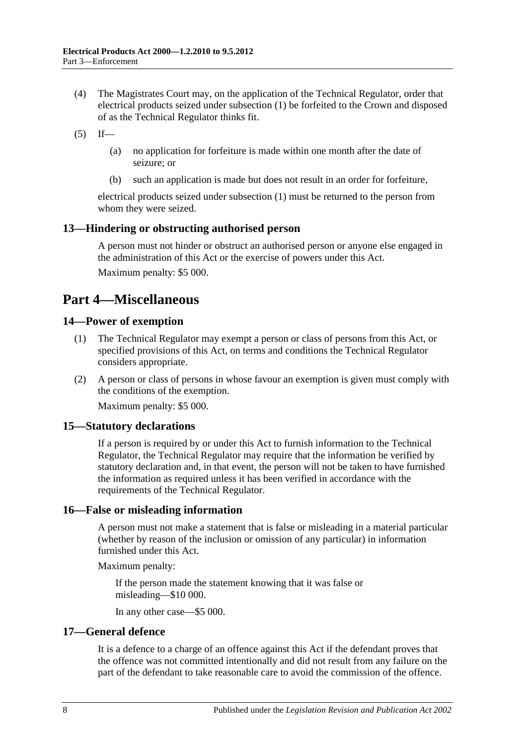- (4) The Magistrates Court may, on the application of the Technical Regulator, order that electrical products seized under [subsection](#page-6-3) (1) be forfeited to the Crown and disposed of as the Technical Regulator thinks fit.
- $(5)$  If—
	- (a) no application for forfeiture is made within one month after the date of seizure; or
	- (b) such an application is made but does not result in an order for forfeiture,

electrical products seized under [subsection](#page-6-3) (1) must be returned to the person from whom they were seized.

### <span id="page-7-0"></span>**13—Hindering or obstructing authorised person**

A person must not hinder or obstruct an authorised person or anyone else engaged in the administration of this Act or the exercise of powers under this Act. Maximum penalty: \$5 000.

# <span id="page-7-1"></span>**Part 4—Miscellaneous**

### <span id="page-7-2"></span>**14—Power of exemption**

- (1) The Technical Regulator may exempt a person or class of persons from this Act, or specified provisions of this Act, on terms and conditions the Technical Regulator considers appropriate.
- (2) A person or class of persons in whose favour an exemption is given must comply with the conditions of the exemption.

Maximum penalty: \$5 000.

### <span id="page-7-3"></span>**15—Statutory declarations**

If a person is required by or under this Act to furnish information to the Technical Regulator, the Technical Regulator may require that the information be verified by statutory declaration and, in that event, the person will not be taken to have furnished the information as required unless it has been verified in accordance with the requirements of the Technical Regulator.

### <span id="page-7-4"></span>**16—False or misleading information**

A person must not make a statement that is false or misleading in a material particular (whether by reason of the inclusion or omission of any particular) in information furnished under this Act.

Maximum penalty:

If the person made the statement knowing that it was false or misleading—\$10 000.

In any other case—\$5 000.

### <span id="page-7-5"></span>**17—General defence**

It is a defence to a charge of an offence against this Act if the defendant proves that the offence was not committed intentionally and did not result from any failure on the part of the defendant to take reasonable care to avoid the commission of the offence.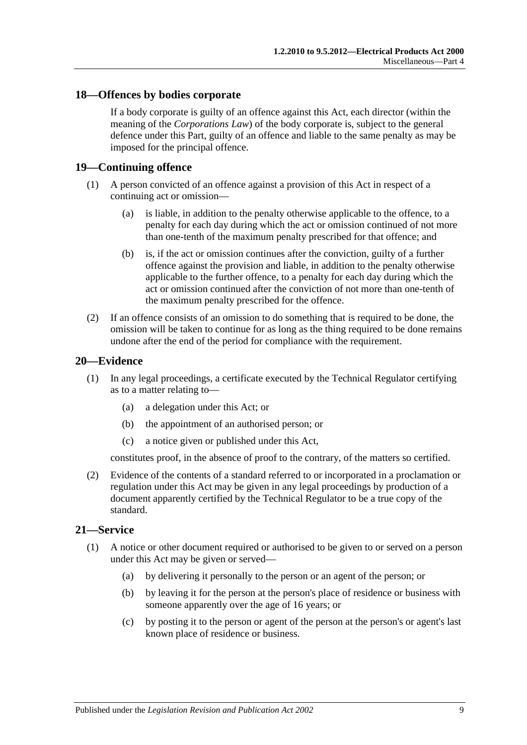### <span id="page-8-0"></span>**18—Offences by bodies corporate**

If a body corporate is guilty of an offence against this Act, each director (within the meaning of the *Corporations Law*) of the body corporate is, subject to the general defence under this Part, guilty of an offence and liable to the same penalty as may be imposed for the principal offence.

#### <span id="page-8-1"></span>**19—Continuing offence**

- (1) A person convicted of an offence against a provision of this Act in respect of a continuing act or omission—
	- (a) is liable, in addition to the penalty otherwise applicable to the offence, to a penalty for each day during which the act or omission continued of not more than one-tenth of the maximum penalty prescribed for that offence; and
	- (b) is, if the act or omission continues after the conviction, guilty of a further offence against the provision and liable, in addition to the penalty otherwise applicable to the further offence, to a penalty for each day during which the act or omission continued after the conviction of not more than one-tenth of the maximum penalty prescribed for the offence.
- (2) If an offence consists of an omission to do something that is required to be done, the omission will be taken to continue for as long as the thing required to be done remains undone after the end of the period for compliance with the requirement.

#### <span id="page-8-2"></span>**20—Evidence**

- (1) In any legal proceedings, a certificate executed by the Technical Regulator certifying as to a matter relating to—
	- (a) a delegation under this Act; or
	- (b) the appointment of an authorised person; or
	- (c) a notice given or published under this Act,

constitutes proof, in the absence of proof to the contrary, of the matters so certified.

(2) Evidence of the contents of a standard referred to or incorporated in a proclamation or regulation under this Act may be given in any legal proceedings by production of a document apparently certified by the Technical Regulator to be a true copy of the standard.

#### <span id="page-8-4"></span><span id="page-8-3"></span>**21—Service**

- (1) A notice or other document required or authorised to be given to or served on a person under this Act may be given or served—
	- (a) by delivering it personally to the person or an agent of the person; or
	- (b) by leaving it for the person at the person's place of residence or business with someone apparently over the age of 16 years; or
	- (c) by posting it to the person or agent of the person at the person's or agent's last known place of residence or business.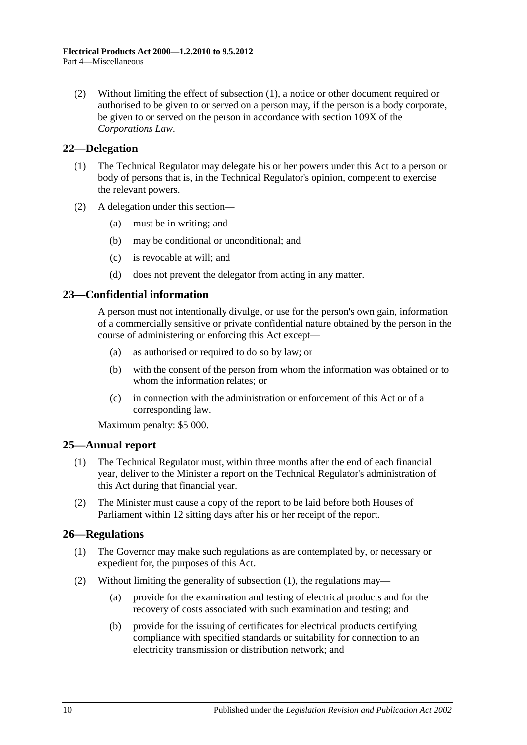(2) Without limiting the effect of [subsection](#page-8-4) (1), a notice or other document required or authorised to be given to or served on a person may, if the person is a body corporate, be given to or served on the person in accordance with section 109X of the *Corporations Law*.

### <span id="page-9-0"></span>**22—Delegation**

- (1) The Technical Regulator may delegate his or her powers under this Act to a person or body of persons that is, in the Technical Regulator's opinion, competent to exercise the relevant powers.
- (2) A delegation under this section—
	- (a) must be in writing; and
	- (b) may be conditional or unconditional; and
	- (c) is revocable at will; and
	- (d) does not prevent the delegator from acting in any matter.

### <span id="page-9-1"></span>**23—Confidential information**

A person must not intentionally divulge, or use for the person's own gain, information of a commercially sensitive or private confidential nature obtained by the person in the course of administering or enforcing this Act except—

- (a) as authorised or required to do so by law; or
- (b) with the consent of the person from whom the information was obtained or to whom the information relates; or
- (c) in connection with the administration or enforcement of this Act or of a corresponding law.

Maximum penalty: \$5 000.

### <span id="page-9-2"></span>**25—Annual report**

- (1) The Technical Regulator must, within three months after the end of each financial year, deliver to the Minister a report on the Technical Regulator's administration of this Act during that financial year.
- (2) The Minister must cause a copy of the report to be laid before both Houses of Parliament within 12 sitting days after his or her receipt of the report.

### <span id="page-9-4"></span><span id="page-9-3"></span>**26—Regulations**

- (1) The Governor may make such regulations as are contemplated by, or necessary or expedient for, the purposes of this Act.
- (2) Without limiting the generality of [subsection](#page-9-4) (1), the regulations may—
	- (a) provide for the examination and testing of electrical products and for the recovery of costs associated with such examination and testing; and
	- (b) provide for the issuing of certificates for electrical products certifying compliance with specified standards or suitability for connection to an electricity transmission or distribution network; and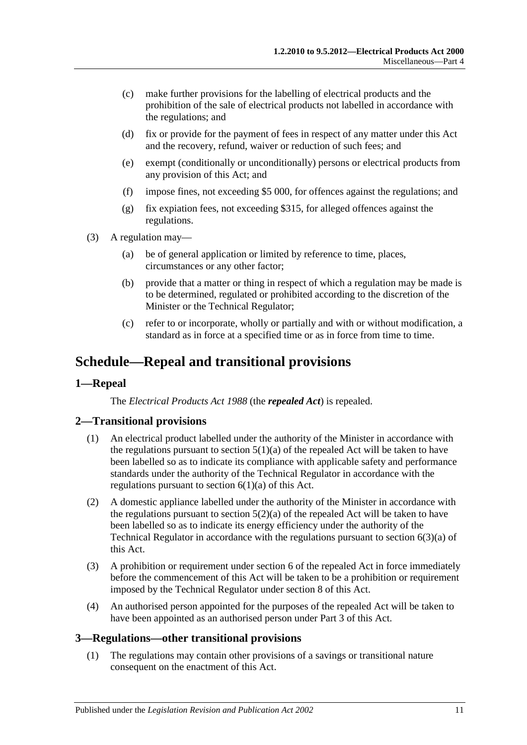- (c) make further provisions for the labelling of electrical products and the prohibition of the sale of electrical products not labelled in accordance with the regulations; and
- (d) fix or provide for the payment of fees in respect of any matter under this Act and the recovery, refund, waiver or reduction of such fees; and
- (e) exempt (conditionally or unconditionally) persons or electrical products from any provision of this Act; and
- (f) impose fines, not exceeding \$5 000, for offences against the regulations; and
- (g) fix expiation fees, not exceeding \$315, for alleged offences against the regulations.
- (3) A regulation may—
	- (a) be of general application or limited by reference to time, places, circumstances or any other factor;
	- (b) provide that a matter or thing in respect of which a regulation may be made is to be determined, regulated or prohibited according to the discretion of the Minister or the Technical Regulator;
	- (c) refer to or incorporate, wholly or partially and with or without modification, a standard as in force at a specified time or as in force from time to time.

# <span id="page-10-0"></span>**Schedule—Repeal and transitional provisions**

### <span id="page-10-1"></span>**1—Repeal**

The *[Electrical Products Act](http://www.legislation.sa.gov.au/index.aspx?action=legref&type=act&legtitle=Electrical%20Products%20Act%201988) 1988* (the *repealed Act*) is repealed.

### <span id="page-10-2"></span>**2—Transitional provisions**

- (1) An electrical product labelled under the authority of the Minister in accordance with the regulations pursuant to section  $5(1)(a)$  of the repealed Act will be taken to have been labelled so as to indicate its compliance with applicable safety and performance standards under the authority of the Technical Regulator in accordance with the regulations pursuant to [section](#page-2-6)  $6(1)(a)$  of this Act.
- (2) A domestic appliance labelled under the authority of the Minister in accordance with the regulations pursuant to section  $5(2)(a)$  of the repealed Act will be taken to have been labelled so as to indicate its energy efficiency under the authority of the Technical Regulator in accordance with the regulations pursuant to [section](#page-3-4) 6(3)(a) of this Act.
- (3) A prohibition or requirement under section 6 of the repealed Act in force immediately before the commencement of this Act will be taken to be a prohibition or requirement imposed by the Technical Regulator under [section](#page-4-0) 8 of this Act.
- (4) An authorised person appointed for the purposes of the repealed Act will be taken to have been appointed as an authorised person unde[r Part 3](#page-5-0) of this Act.

#### <span id="page-10-4"></span><span id="page-10-3"></span>**3—Regulations—other transitional provisions**

(1) The regulations may contain other provisions of a savings or transitional nature consequent on the enactment of this Act.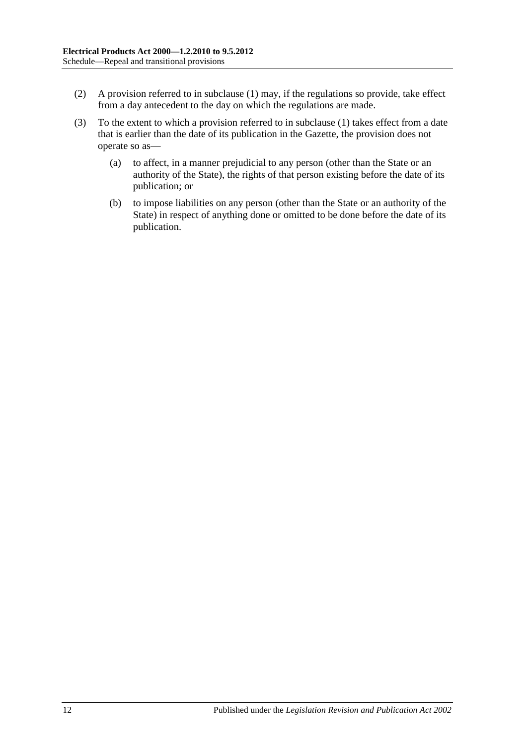- (2) A provision referred to in [subclause](#page-10-4) (1) may, if the regulations so provide, take effect from a day antecedent to the day on which the regulations are made.
- (3) To the extent to which a provision referred to in [subclause](#page-10-4) (1) takes effect from a date that is earlier than the date of its publication in the Gazette, the provision does not operate so as—
	- (a) to affect, in a manner prejudicial to any person (other than the State or an authority of the State), the rights of that person existing before the date of its publication; or
	- (b) to impose liabilities on any person (other than the State or an authority of the State) in respect of anything done or omitted to be done before the date of its publication.